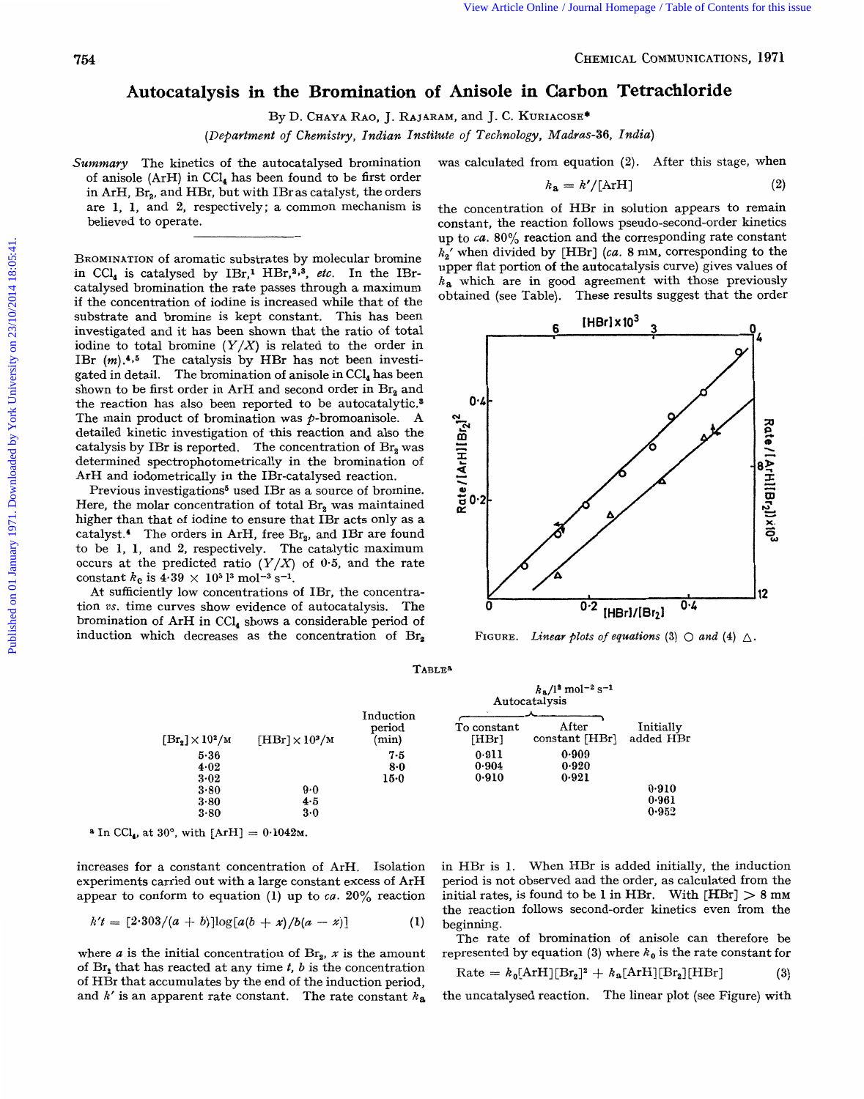Published on 01 January 1971. Downloaded by York University on 23/10/2014 18:05:41.

Published on 01 January 1971. Downloaded by York University on 23/10/2014 18:05:41.

## View Article Online / Journal Homepage / Table of Contents for this issue<br> **754**<br> **Autocatalysis in the Bromination of Anisole in Carbon Tetrachloride Autocatalysis in the Brornination of Anisole in Carbon**  CHEMICAL COMMUNICATIONS, 1971<br>the Bromination of Anisole in Carbon Tetrachloride<br>By D. CHAYA RAO, J. RAJARAM, and J. C. KURIACOSE<sup>\*</sup><br>*tt of Chemistry, Indian Institute of Technology, Madras*-36, *India*)<br>utocatalysed bromi *CHEMICAL COMMUNICATIONS, 1971*<br> **Carbon Tetrachloride**<br> *Madras-36, India*)

D. **CI-IAYA RAO,**  J. **RAJARAM,**  and J. C. **KURIACOSE\*** 

*(Department Chemistry, Indian Institute*  **of**  *Technology,* 

Summary The kinetics of the autocatalysed bromination of anisole (ArH) in CC14 has been found to be first order in ArH, Br<sub>2</sub>, and HBr, but with IBr as catalyst, the orders are **1, 1,** and **2,** respectively; a common mechanism is believed to operate.

was calculated from equation **(2).** After this stage, when

$$
k_{\mathbf{a}} = k' / [\text{ArH}] \tag{2}
$$

**BROMINATION** of aromatic substrates by molecular bromine in CCl<sub>4</sub> is catalysed by IBr,<sup>1</sup> HBr,<sup>2</sup>,<sup>3</sup>, etc. In the IBrcatalysed bromination the rate passes through a maximum if the concentration of iodine is increased while that of the substrate and bromine is kept constant. This has been investigated and it has been shown that the ratio of total iodine to total bromine  $(Y/X)$  is related to the order in BROMINATION of aromatic substrates by molecular bromine *h*<sub>2</sub><sup>*N*</sup> wend divided by [HBr] (ca. 8 mM, corresponding to the in CCl<sub>4</sub> is catalysed by IBr,<sup>1</sup> HBr,<sup>2,2</sup>, *etc*. In the IBr-<br>upper flat portion of the autocatal IBr  $(m).4.5$  The catalysis by HBr has not been investigated in detail. The bromination **of** anisole in CCl, has been shown to be first order in ArH and second order in  $\text{Br}_2$  and the reaction has also been reported to be autocatalytic.<sup>8</sup> The main product of bromination was  $p$ -bromoanisole. A detailed kinetic investigation of this reaction and also the catalysis by IBr is reported. The concentration of Br, was determined spectrophotometrically in the bromination of ArH and iodometrically in the IBr-catalysed reaction.

Previous investigations<sup>5</sup> used IBr as a source of bromine. Here, the molar concentration of total  $\text{Br}_2$  was maintained higher than that of iodine to ensure that IBr acts only as a catalyst.<sup>4</sup> The orders in ArH, free Br<sub>2</sub>, and IBr are found to be 1, 1, and 2, respectively. The catalytic maximum occurs at the predicted ratio  $(Y/X)$  of 0.5, and the rate

At sufficiently low concentrations of IBr, the concentration vs. time curves show evidence of autocatalysis. The bromination of ArH in CC14 shows a considerable period of induction which decreases as the concentration of  $\text{Br}_2$  the concentration of HBr in solution appears to remain constant, the reaction follows pseudo-second-order kinetics **up** to *ca.* **80%** reaction and the corresponding rate constant *k,'* when divided by [HBr] **(ca.** 8 mM, corresponding to the upper flat portion **of** the autocatalysis curve) gives values of *ka* which are in good agreement with those previously obtained (see Table). These results suggest that the order



| $[Br_{2}] \times 10^{2}/M$ | $\text{[HBr]} \times 10^3/\text{m}$ | $k_8/l^2$ mol <sup>-2</sup> s <sup>-1</sup><br>Autocatalysis |                         |                         |                        |
|----------------------------|-------------------------------------|--------------------------------------------------------------|-------------------------|-------------------------|------------------------|
|                            |                                     | Induction<br>period<br>(min)                                 | To constant<br>[HBr]    | After<br>constant [HBr] | Initially<br>added HBr |
| 5.36<br>4.02<br>3.02       |                                     | 7.5<br>$8-0$<br>$15-0$                                       | 0.911<br>0.904<br>0.910 | 0.909<br>0.920<br>0.921 |                        |
| 3.80                       | 9.0                                 |                                                              |                         |                         | 0.910                  |
| 3.80                       | 4.5                                 |                                                              |                         |                         | 0.961                  |
| 3.80                       | 3.0                                 |                                                              |                         |                         | 0.952                  |

TABLE^

 $^{\circ}$  **a** In CCl<sub>4</sub>, at 30°, with  $[ArH] = 0.1042M$ .

increases for a constant concentration of ArH. Isolation experiments carried out with a large constant excess **of** ArH appear to conform to equation (1) up to  $ca$ . 20% reaction

$$
k't = [2.303/(a+b)]\log[a(b+x)/b(a-x)] \qquad (1)
$$

where  $a$  is the initial concentration of  $\text{Br}_2$ ,  $x$  is the amount of Br, that has reacted at any time *t, b* is the concentration of HBr that accumulates by the end **of** the induction period, and *k'* is an apparent rate constant. The rate constant *ka* 

3.80 3.90 4.5<br>
3.80 4.5 9.90 4.5<br>
3.80 4.5 9.961 3.90 4.5<br>
increases for a constant concentration of ArH. Isolation in HBr is 1. When HBr is added initially, the induction<br>
experiments carried out with a large constant ex in HBr is **1.** When HBr is added initially, the induction period is not observed and the order, as calculated from the initial rates, is found to be 1 in HBr. With  $[HBr] > 8$  mm the reaction follows second-order kinetics even from the beginning.

The rate of bromination of anisole can therefore be represented by equation (3) where  $k_0$  is the rate constant for

$$
Rate = k_0[ArH][Br_2]^2 + k_3[ArH][Br_2][HBr]
$$
 (3)

the uncatalysed reaction. The linear plot (see Figure) with